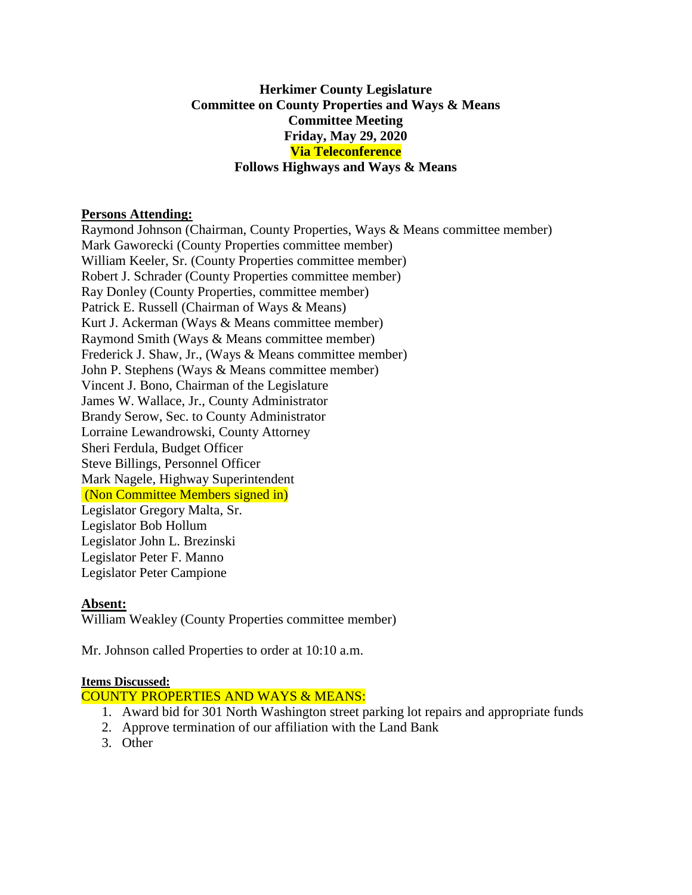# **Herkimer County Legislature Committee on County Properties and Ways & Means Committee Meeting Friday, May 29, 2020 Via Teleconference Follows Highways and Ways & Means**

### **Persons Attending:**

Raymond Johnson (Chairman, County Properties, Ways & Means committee member) Mark Gaworecki (County Properties committee member) William Keeler, Sr. (County Properties committee member) Robert J. Schrader (County Properties committee member) Ray Donley (County Properties, committee member) Patrick E. Russell (Chairman of Ways & Means) Kurt J. Ackerman (Ways & Means committee member) Raymond Smith (Ways & Means committee member) Frederick J. Shaw, Jr., (Ways & Means committee member) John P. Stephens (Ways & Means committee member) Vincent J. Bono, Chairman of the Legislature James W. Wallace, Jr., County Administrator Brandy Serow, Sec. to County Administrator Lorraine Lewandrowski, County Attorney Sheri Ferdula, Budget Officer Steve Billings, Personnel Officer Mark Nagele, Highway Superintendent (Non Committee Members signed in) Legislator Gregory Malta, Sr. Legislator Bob Hollum Legislator John L. Brezinski Legislator Peter F. Manno Legislator Peter Campione

#### **Absent:**

William Weakley (County Properties committee member)

Mr. Johnson called Properties to order at 10:10 a.m.

#### **Items Discussed:**

# COUNTY PROPERTIES AND WAYS & MEANS:

- 1. Award bid for 301 North Washington street parking lot repairs and appropriate funds
- 2. Approve termination of our affiliation with the Land Bank
- 3. Other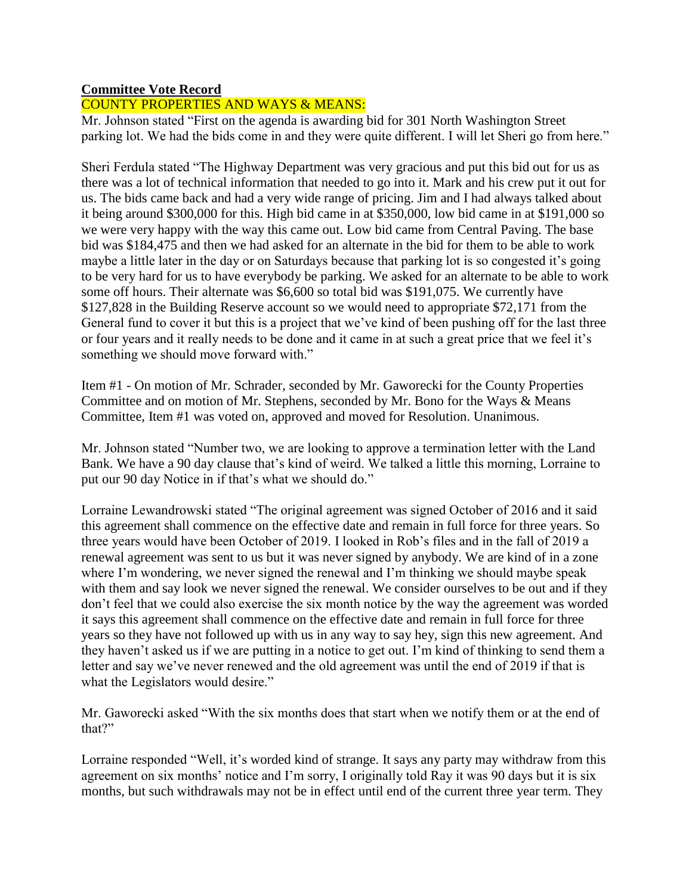# **Committee Vote Record**

# COUNTY PROPERTIES AND WAYS & MEANS:

Mr. Johnson stated "First on the agenda is awarding bid for 301 North Washington Street parking lot. We had the bids come in and they were quite different. I will let Sheri go from here."

Sheri Ferdula stated "The Highway Department was very gracious and put this bid out for us as there was a lot of technical information that needed to go into it. Mark and his crew put it out for us. The bids came back and had a very wide range of pricing. Jim and I had always talked about it being around \$300,000 for this. High bid came in at \$350,000, low bid came in at \$191,000 so we were very happy with the way this came out. Low bid came from Central Paving. The base bid was \$184,475 and then we had asked for an alternate in the bid for them to be able to work maybe a little later in the day or on Saturdays because that parking lot is so congested it's going to be very hard for us to have everybody be parking. We asked for an alternate to be able to work some off hours. Their alternate was \$6,600 so total bid was \$191,075. We currently have \$127,828 in the Building Reserve account so we would need to appropriate \$72,171 from the General fund to cover it but this is a project that we've kind of been pushing off for the last three or four years and it really needs to be done and it came in at such a great price that we feel it's something we should move forward with."

Item #1 - On motion of Mr. Schrader, seconded by Mr. Gaworecki for the County Properties Committee and on motion of Mr. Stephens, seconded by Mr. Bono for the Ways & Means Committee, Item #1 was voted on, approved and moved for Resolution. Unanimous.

Mr. Johnson stated "Number two, we are looking to approve a termination letter with the Land Bank. We have a 90 day clause that's kind of weird. We talked a little this morning, Lorraine to put our 90 day Notice in if that's what we should do."

Lorraine Lewandrowski stated "The original agreement was signed October of 2016 and it said this agreement shall commence on the effective date and remain in full force for three years. So three years would have been October of 2019. I looked in Rob's files and in the fall of 2019 a renewal agreement was sent to us but it was never signed by anybody. We are kind of in a zone where I'm wondering, we never signed the renewal and I'm thinking we should maybe speak with them and say look we never signed the renewal. We consider ourselves to be out and if they don't feel that we could also exercise the six month notice by the way the agreement was worded it says this agreement shall commence on the effective date and remain in full force for three years so they have not followed up with us in any way to say hey, sign this new agreement. And they haven't asked us if we are putting in a notice to get out. I'm kind of thinking to send them a letter and say we've never renewed and the old agreement was until the end of 2019 if that is what the Legislators would desire."

Mr. Gaworecki asked "With the six months does that start when we notify them or at the end of that?"

Lorraine responded "Well, it's worded kind of strange. It says any party may withdraw from this agreement on six months' notice and I'm sorry, I originally told Ray it was 90 days but it is six months, but such withdrawals may not be in effect until end of the current three year term. They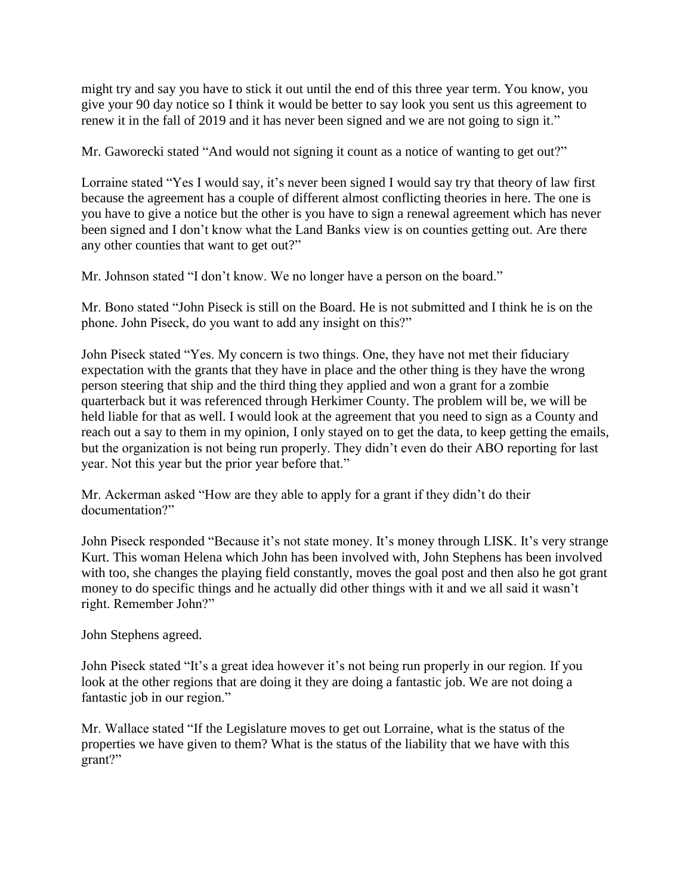might try and say you have to stick it out until the end of this three year term. You know, you give your 90 day notice so I think it would be better to say look you sent us this agreement to renew it in the fall of 2019 and it has never been signed and we are not going to sign it."

Mr. Gaworecki stated "And would not signing it count as a notice of wanting to get out?"

Lorraine stated "Yes I would say, it's never been signed I would say try that theory of law first because the agreement has a couple of different almost conflicting theories in here. The one is you have to give a notice but the other is you have to sign a renewal agreement which has never been signed and I don't know what the Land Banks view is on counties getting out. Are there any other counties that want to get out?"

Mr. Johnson stated "I don't know. We no longer have a person on the board."

Mr. Bono stated "John Piseck is still on the Board. He is not submitted and I think he is on the phone. John Piseck, do you want to add any insight on this?"

John Piseck stated "Yes. My concern is two things. One, they have not met their fiduciary expectation with the grants that they have in place and the other thing is they have the wrong person steering that ship and the third thing they applied and won a grant for a zombie quarterback but it was referenced through Herkimer County. The problem will be, we will be held liable for that as well. I would look at the agreement that you need to sign as a County and reach out a say to them in my opinion, I only stayed on to get the data, to keep getting the emails, but the organization is not being run properly. They didn't even do their ABO reporting for last year. Not this year but the prior year before that."

Mr. Ackerman asked "How are they able to apply for a grant if they didn't do their documentation?"

John Piseck responded "Because it's not state money. It's money through LISK. It's very strange Kurt. This woman Helena which John has been involved with, John Stephens has been involved with too, she changes the playing field constantly, moves the goal post and then also he got grant money to do specific things and he actually did other things with it and we all said it wasn't right. Remember John?"

John Stephens agreed.

John Piseck stated "It's a great idea however it's not being run properly in our region. If you look at the other regions that are doing it they are doing a fantastic job. We are not doing a fantastic job in our region."

Mr. Wallace stated "If the Legislature moves to get out Lorraine, what is the status of the properties we have given to them? What is the status of the liability that we have with this grant?"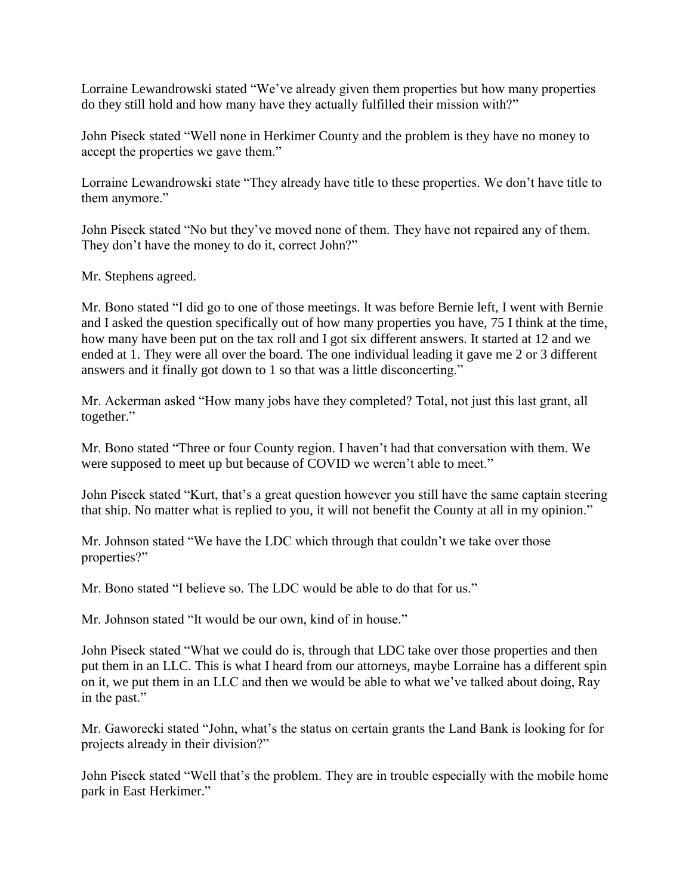Lorraine Lewandrowski stated "We've already given them properties but how many properties do they still hold and how many have they actually fulfilled their mission with?"

John Piseck stated "Well none in Herkimer County and the problem is they have no money to accept the properties we gave them."

Lorraine Lewandrowski state "They already have title to these properties. We don't have title to them anymore."

John Piseck stated "No but they've moved none of them. They have not repaired any of them. They don't have the money to do it, correct John?"

Mr. Stephens agreed.

Mr. Bono stated "I did go to one of those meetings. It was before Bernie left, I went with Bernie and I asked the question specifically out of how many properties you have, 75 I think at the time, how many have been put on the tax roll and I got six different answers. It started at 12 and we ended at 1. They were all over the board. The one individual leading it gave me 2 or 3 different answers and it finally got down to 1 so that was a little disconcerting."

Mr. Ackerman asked "How many jobs have they completed? Total, not just this last grant, all together."

Mr. Bono stated "Three or four County region. I haven't had that conversation with them. We were supposed to meet up but because of COVID we weren't able to meet."

John Piseck stated "Kurt, that's a great question however you still have the same captain steering that ship. No matter what is replied to you, it will not benefit the County at all in my opinion."

Mr. Johnson stated "We have the LDC which through that couldn't we take over those properties?"

Mr. Bono stated "I believe so. The LDC would be able to do that for us."

Mr. Johnson stated "It would be our own, kind of in house."

John Piseck stated "What we could do is, through that LDC take over those properties and then put them in an LLC. This is what I heard from our attorneys, maybe Lorraine has a different spin on it, we put them in an LLC and then we would be able to what we've talked about doing, Ray in the past."

Mr. Gaworecki stated "John, what's the status on certain grants the Land Bank is looking for for projects already in their division?"

John Piseck stated "Well that's the problem. They are in trouble especially with the mobile home park in East Herkimer."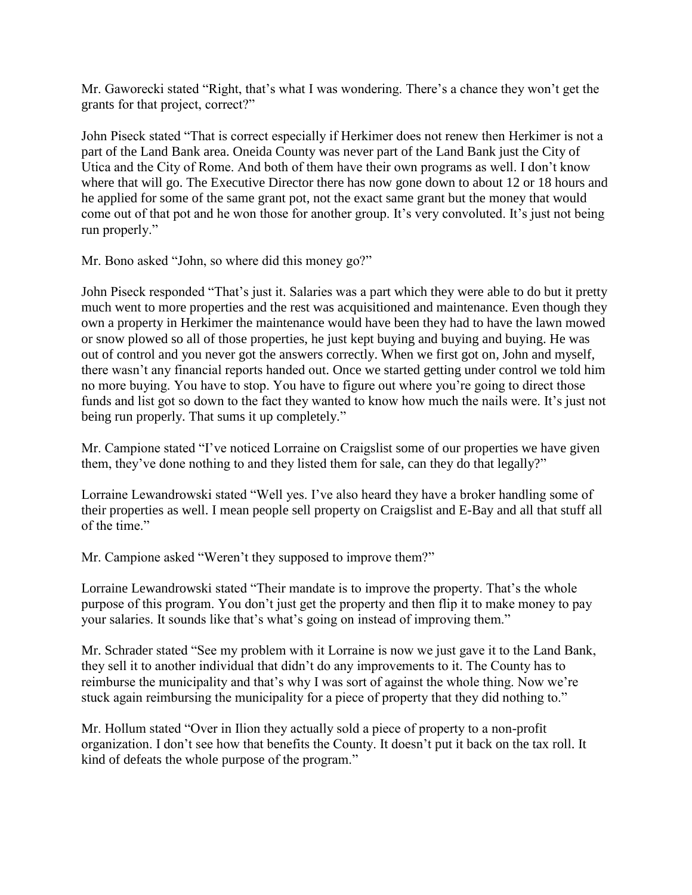Mr. Gaworecki stated "Right, that's what I was wondering. There's a chance they won't get the grants for that project, correct?"

John Piseck stated "That is correct especially if Herkimer does not renew then Herkimer is not a part of the Land Bank area. Oneida County was never part of the Land Bank just the City of Utica and the City of Rome. And both of them have their own programs as well. I don't know where that will go. The Executive Director there has now gone down to about 12 or 18 hours and he applied for some of the same grant pot, not the exact same grant but the money that would come out of that pot and he won those for another group. It's very convoluted. It's just not being run properly."

Mr. Bono asked "John, so where did this money go?"

John Piseck responded "That's just it. Salaries was a part which they were able to do but it pretty much went to more properties and the rest was acquisitioned and maintenance. Even though they own a property in Herkimer the maintenance would have been they had to have the lawn mowed or snow plowed so all of those properties, he just kept buying and buying and buying. He was out of control and you never got the answers correctly. When we first got on, John and myself, there wasn't any financial reports handed out. Once we started getting under control we told him no more buying. You have to stop. You have to figure out where you're going to direct those funds and list got so down to the fact they wanted to know how much the nails were. It's just not being run properly. That sums it up completely."

Mr. Campione stated "I've noticed Lorraine on Craigslist some of our properties we have given them, they've done nothing to and they listed them for sale, can they do that legally?"

Lorraine Lewandrowski stated "Well yes. I've also heard they have a broker handling some of their properties as well. I mean people sell property on Craigslist and E-Bay and all that stuff all of the time."

Mr. Campione asked "Weren't they supposed to improve them?"

Lorraine Lewandrowski stated "Their mandate is to improve the property. That's the whole purpose of this program. You don't just get the property and then flip it to make money to pay your salaries. It sounds like that's what's going on instead of improving them."

Mr. Schrader stated "See my problem with it Lorraine is now we just gave it to the Land Bank, they sell it to another individual that didn't do any improvements to it. The County has to reimburse the municipality and that's why I was sort of against the whole thing. Now we're stuck again reimbursing the municipality for a piece of property that they did nothing to."

Mr. Hollum stated "Over in Ilion they actually sold a piece of property to a non-profit organization. I don't see how that benefits the County. It doesn't put it back on the tax roll. It kind of defeats the whole purpose of the program."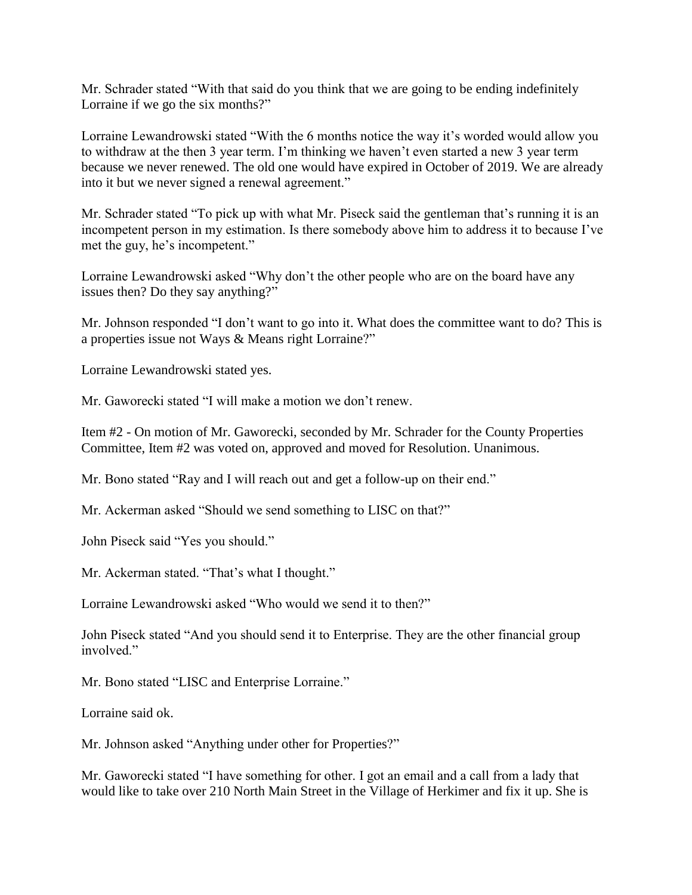Mr. Schrader stated "With that said do you think that we are going to be ending indefinitely Lorraine if we go the six months?"

Lorraine Lewandrowski stated "With the 6 months notice the way it's worded would allow you to withdraw at the then 3 year term. I'm thinking we haven't even started a new 3 year term because we never renewed. The old one would have expired in October of 2019. We are already into it but we never signed a renewal agreement."

Mr. Schrader stated "To pick up with what Mr. Piseck said the gentleman that's running it is an incompetent person in my estimation. Is there somebody above him to address it to because I've met the guy, he's incompetent."

Lorraine Lewandrowski asked "Why don't the other people who are on the board have any issues then? Do they say anything?"

Mr. Johnson responded "I don't want to go into it. What does the committee want to do? This is a properties issue not Ways & Means right Lorraine?"

Lorraine Lewandrowski stated yes.

Mr. Gaworecki stated "I will make a motion we don't renew.

Item #2 - On motion of Mr. Gaworecki, seconded by Mr. Schrader for the County Properties Committee, Item #2 was voted on, approved and moved for Resolution. Unanimous.

Mr. Bono stated "Ray and I will reach out and get a follow-up on their end."

Mr. Ackerman asked "Should we send something to LISC on that?"

John Piseck said "Yes you should."

Mr. Ackerman stated. "That's what I thought."

Lorraine Lewandrowski asked "Who would we send it to then?"

John Piseck stated "And you should send it to Enterprise. They are the other financial group involved."

Mr. Bono stated "LISC and Enterprise Lorraine."

Lorraine said ok.

Mr. Johnson asked "Anything under other for Properties?"

Mr. Gaworecki stated "I have something for other. I got an email and a call from a lady that would like to take over 210 North Main Street in the Village of Herkimer and fix it up. She is